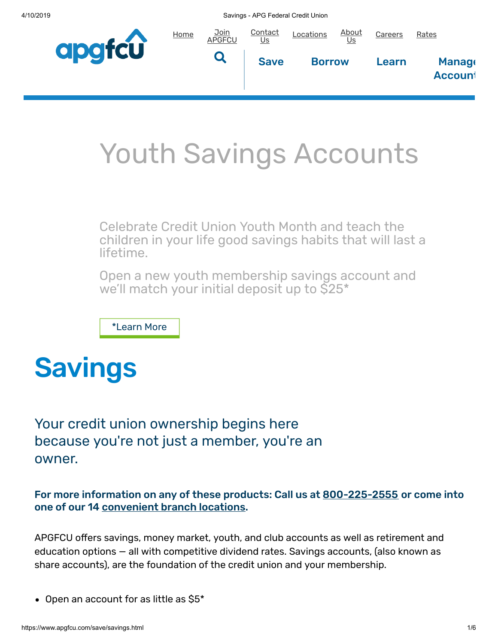4/10/2019 Savings - APG Federal Credit Union



# Youth Savings Accounts

Celebrate Credit Union Youth Month and teach the children in your life good savings habits that will last a lifetime.

Open a new youth membership savings account and we'll match your initial deposit up to \$25\*

[\\*Learn](#page-2-0) More

# **Savings**

Your credit union ownership begins here because you're not just a member, you're an owner.

For more information on any of these products: Call us at [800-225-2555](tel:1-800-225-2555) or come into one of our 14 [convenient](https://www.apgfcu.com/locations-and-hours.html) branch locations.

APGFCU offers savings, money market, youth, and club accounts as well as retirement and education options — all with competitive dividend rates. Savings accounts, (also known as share accounts), are the foundation of the credit union and your membership.

• Open an account for as little as \$5\*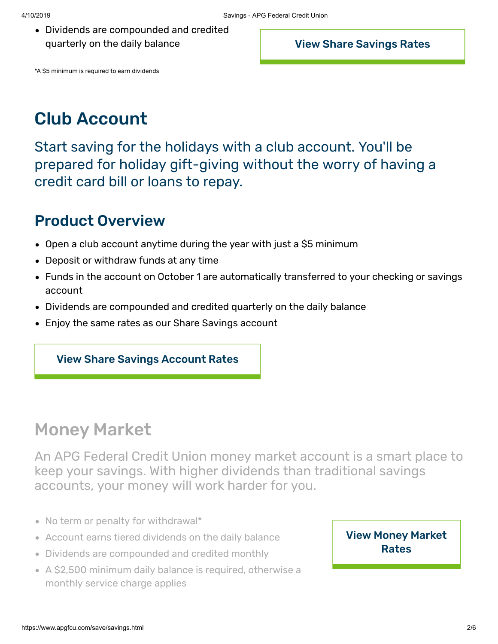Dividends are compounded and credited quarterly on the daily balance

View Share [Savings](https://www.apgfcu.com/rates/account-rates.html#savings) Rates

\*A \$5 minimum is required to earn dividends

# Club Account

Start saving for the holidays with a club account. You'll be prepared for holiday gift-giving without the worry of having a credit card bill or loans to repay.

#### Product Overview

- Open a club account anytime during the year with just a \$5 minimum
- Deposit or withdraw funds at any time
- Funds in the account on October 1 are automatically transferred to your checking or savings account
- Dividends are compounded and credited quarterly on the daily balance
- Enjoy the same rates as our Share Savings account

#### View Share Savings [Account](https://www.apgfcu.com/rates/account-rates.html) Rates

## Money Market

An APG Federal Credit Union money market account is a smart place to keep your savings. With higher dividends than traditional savings accounts, your money will work harder for you.

- No term or penalty for withdrawal\*
- Account earns tiered dividends on the daily balance
- Dividends are compounded and credited monthly
- A \$2,500 minimum daily balance is required, otherwise a monthly service charge applies

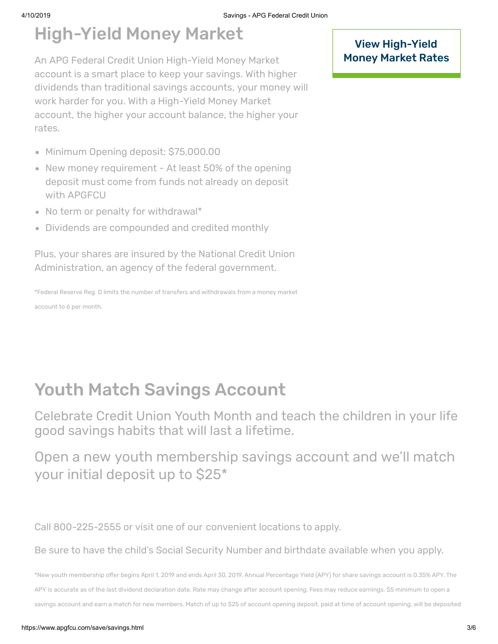# High-Yield Money Market

An APG Federal Credit Union High-Yield Money Market account is a smart place to keep your savings. With higher dividends than traditional savings accounts, your money will work harder for you. With a High-Yield Money Market account, the higher your account balance, the higher your rates.

- Minimum Opening deposit: \$75,000.00
- New money requirement At least 50% of the opening deposit must come from funds not already on deposit with APGFCU
- No term or penalty for withdrawal\*
- Dividends are compounded and credited monthly

Plus, your shares are insured by the National Credit Union Administration, an agency of the federal government.

\*Federal Reserve Reg. D limits the number of transfers and withdrawals from a money market account to 6 per month.

View High-Yield [Money Market](https://www.apgfcu.com/rates/account-rates.html#market) Rates

# <span id="page-2-0"></span>Youth Match Savings Account

Celebrate Credit Union Youth Month and teach the children in your life good savings habits that will last a lifetime.

Open a new youth membership savings account and we'll match your initial deposit up to \$25\*

Call 800-225-2555 or visit one of our [convenient](https://www.apgfcu.com/locations-and-hours.html) locations to apply.

Be sure to have the child's Social Security Number and birthdate available when you apply.

\*New youth membership offer begins April 1, 2019 and ends April 30, 2019. Annual Percentage Yield (APY) for share savings account is 0.35% APY. The APY is accurate as of the last dividend declaration date. Rate may change after account opening. Fees may reduce earnings. \$5 minimum to open a savings account and earn a match for new members. Match of up to \$25 of account opening deposit, paid at time of account opening, will be deposited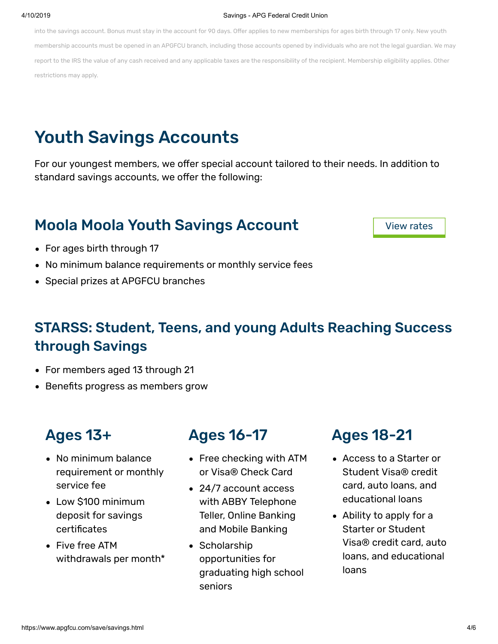#### 4/10/2019 Savings - APG Federal Credit Union

into the savings account. Bonus must stay in the account for 90 days. Offer applies to new memberships for ages birth through 17 only. New youth membership accounts must be opened in an APGFCU branch, including those accounts opened by individuals who are not the legal guardian. We may report to the IRS the value of any cash received and any applicable taxes are the responsibility of the recipient. Membership eligibility applies. Other restrictions may apply.

# Youth Savings Accounts

For our youngest members, we offer special account tailored to their needs. In addition to standard savings accounts, we offer the following:

#### Moola Moola Youth Savings Account

View [rates](https://www.apgfcu.com/rates/account-rates.html#savings)

- For ages birth through 17
- No minimum balance requirements or monthly service fees
- Special prizes at APGFCU branches

#### STARSS: Student, Teens, and young Adults Reaching Success through Savings

- For members aged 13 through 21
- Benefits progress as members grow

#### Ages 13+

- No minimum balance requirement or monthly service fee
- Low \$100 minimum deposit for savings certificates
- Five free ATM withdrawals per month\*

### Ages 16-17

- Free checking with ATM or Visa® Check Card
- 24/7 account access with ABBY Telephone Teller, Online Banking and Mobile Banking
- Scholarship opportunities for graduating high school seniors

### Ages 18-21

- Access to a Starter or Student Visa® credit card, auto loans, and educational loans
- Ability to apply for a Starter or Student Visa® credit card, auto loans, and educational loans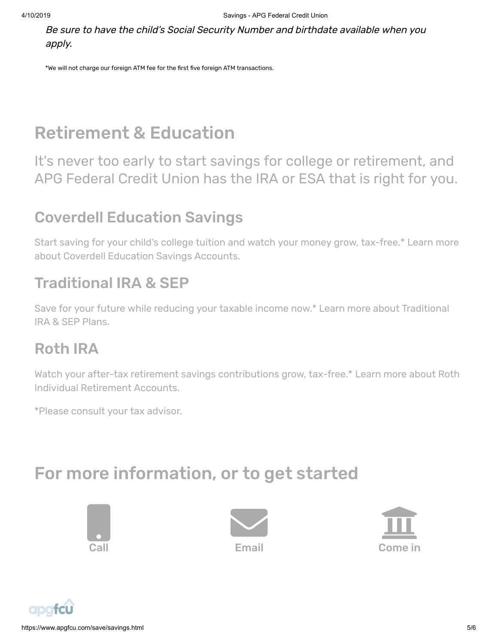Be sure to have the child's Social Security Number and birthdate available when you apply.

\*We will not charge our foreign ATM fee for the first five foreign ATM transactions.

# Retirement & Education

It's never too early to start savings for college or retirement, and APG Federal Credit Union has the IRA or ESA that is right for you.

## Coverdell Education Savings

Start saving for your child's college tuition and watch your money grow, tax-free.\* Learn more about Coverdell Education Savings [Accounts.](https://www2.iraservicecenter.com/irasc/?OrgNbr=5570&p=learneducation) 

## Traditional IRA & SEP

Save for your future while reducing your taxable income now.\* Learn more about [Traditional](https://www2.iraservicecenter.com/irasc/?OrgNbr=5570&p=learntraditional) IRA & SEP Plans.

### Roth IRA

Watch your after-tax retirement savings [contributions](https://www2.iraservicecenter.com/irasc/?OrgNbr=5570&p=learnroth) grow, tax-free.\* Learn more about Roth Individual Retirement Accounts.

\*Please consult your tax advisor.

# For more information, or to get started







https://www.apgfcu.com/save/savings.html 5/6